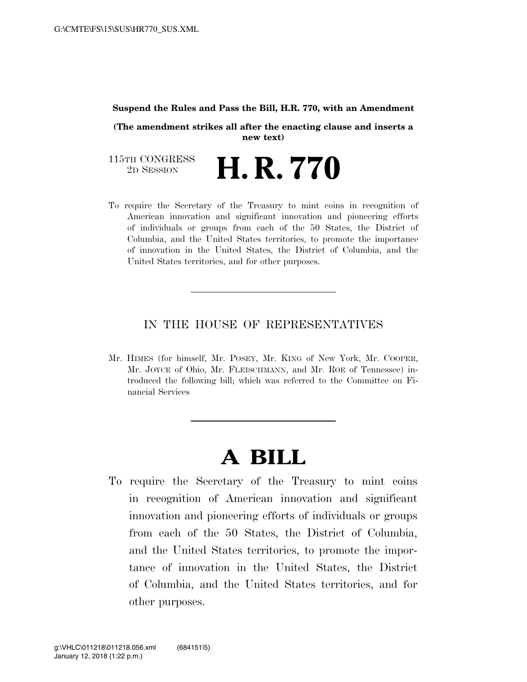#### **Suspend the Rules and Pass the Bill, H.R. 770, with an Amendment**

**(The amendment strikes all after the enacting clause and inserts a new text)**

115TH CONGRESS<br>2D SESSION 2D SESSION **H. R. 770**

To require the Secretary of the Treasury to mint coins in recognition of American innovation and significant innovation and pioneering efforts of individuals or groups from each of the 50 States, the District of Columbia, and the United States territories, to promote the importance of innovation in the United States, the District of Columbia, and the United States territories, and for other purposes.

### IN THE HOUSE OF REPRESENTATIVES

Mr. HIMES (for himself, Mr. POSEY, Mr. KING of New York, Mr. COOPER, Mr. JOYCE of Ohio, Mr. FLEISCHMANN, and Mr. ROE of Tennessee) introduced the following bill; which was referred to the Committee on Financial Services

# **A BILL**

To require the Secretary of the Treasury to mint coins in recognition of American innovation and significant innovation and pioneering efforts of individuals or groups from each of the 50 States, the District of Columbia, and the United States territories, to promote the importance of innovation in the United States, the District of Columbia, and the United States territories, and for other purposes.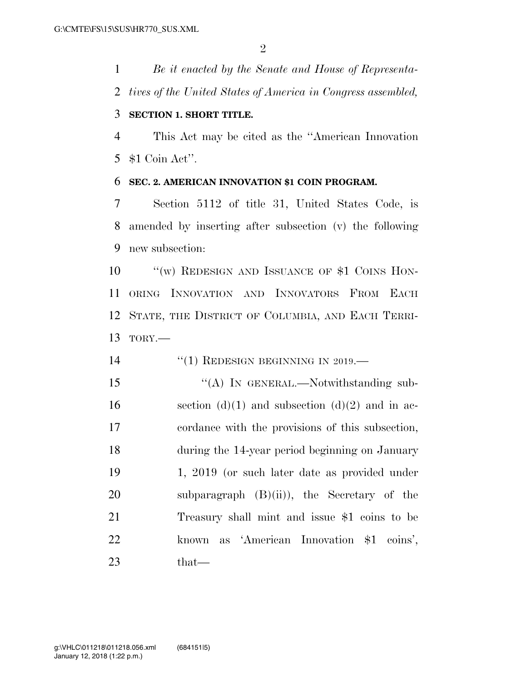*Be it enacted by the Senate and House of Representa-tives of the United States of America in Congress assembled,* 

## **SECTION 1. SHORT TITLE.**

 This Act may be cited as the ''American Innovation \$1 Coin Act''.

# **SEC. 2. AMERICAN INNOVATION \$1 COIN PROGRAM.**

 Section 5112 of title 31, United States Code, is amended by inserting after subsection (v) the following new subsection:

10 "'(w) REDESIGN AND ISSUANCE OF \$1 COINS HON- ORING INNOVATION AND INNOVATORS FROM EACH STATE, THE DISTRICT OF COLUMBIA, AND EACH TERRI-TORY.—

14 "(1) REDESIGN BEGINNING IN 2019.—

15 "(A) IN GENERAL.—Notwithstanding sub-16 section (d)(1) and subsection (d)(2) and in ac- cordance with the provisions of this subsection, during the 14-year period beginning on January 1, 2019 (or such later date as provided under 20 subparagraph (B)(ii)), the Secretary of the Treasury shall mint and issue \$1 coins to be known as 'American Innovation \$1 coins', that—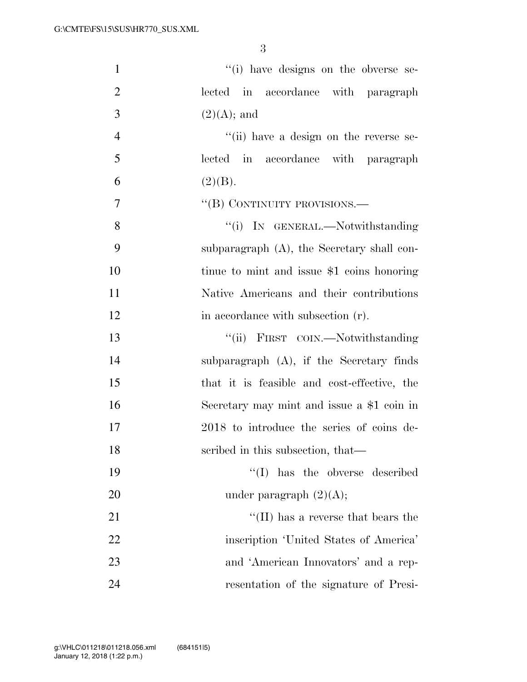| $\mathbf{1}$   | "(i) have designs on the obverse se-          |
|----------------|-----------------------------------------------|
| $\overline{2}$ | lected in accordance with paragraph           |
| 3              | $(2)(A);$ and                                 |
| $\overline{4}$ | "(ii) have a design on the reverse se-        |
| 5              | lected in accordance with paragraph           |
| 6              | (2)(B).                                       |
| 7              | "(B) CONTINUITY PROVISIONS.—                  |
| 8              | "(i) IN GENERAL.—Notwithstanding              |
| 9              | subparagraph $(A)$ , the Secretary shall con- |
| 10             | tinue to mint and issue \$1 coins honoring    |
| 11             | Native Americans and their contributions      |
| 12             | in accordance with subsection (r).            |
| 13             | "(ii) FIRST COIN.—Notwithstanding             |
| 14             | subparagraph $(A)$ , if the Secretary finds   |
| 15             | that it is feasible and cost-effective, the   |
| 16             | Secretary may mint and issue a \$1 coin in    |
| 17             | 2018 to introduce the series of coins de-     |
| 18             | scribed in this subsection, that—             |
| 19             | $\lq\lq$ has the obverse described            |
| 20             | under paragraph $(2)(A);$                     |
| 21             | $\lq\lq$ (II) has a reverse that bears the    |
| 22             | inscription 'United States of America'        |
| 23             | and 'American Innovators' and a rep-          |
| 24             | resentation of the signature of Presi-        |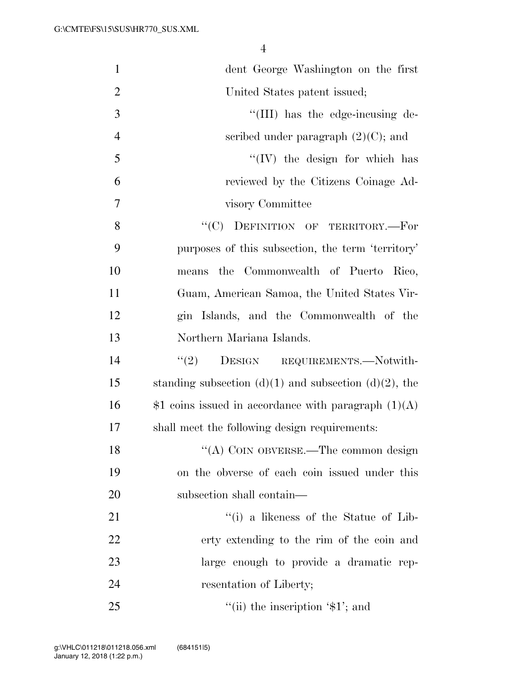| $\mathbf{1}$   | dent George Washington on the first                        |
|----------------|------------------------------------------------------------|
| $\overline{2}$ | United States patent issued;                               |
| 3              | "(III) has the edge-incusing de-                           |
| $\overline{4}$ | scribed under paragraph $(2)(C)$ ; and                     |
| 5              | $\lq\lq (IV)$ the design for which has                     |
| 6              | reviewed by the Citizens Coinage Ad-                       |
| $\overline{7}$ | visory Committee                                           |
| 8              | "(C) DEFINITION OF TERRITORY.-For                          |
| 9              | purposes of this subsection, the term 'territory'          |
| 10             | means the Commonwealth of Puerto Rico,                     |
| 11             | Guam, American Samoa, the United States Vir-               |
| 12             | gin Islands, and the Commonwealth of the                   |
| 13             | Northern Mariana Islands.                                  |
| 14             | "(2) DESIGN REQUIREMENTS.—Notwith-                         |
| 15             | standing subsection $(d)(1)$ and subsection $(d)(2)$ , the |
| 16             | $$1$ coins issued in accordance with paragraph $(1)(A)$    |
| 17             | shall meet the following design requirements:              |
| 18             | "(A) COIN OBVERSE.—The common design                       |
| 19             | on the obverse of each coin issued under this              |
| 20             | subsection shall contain—                                  |
| 21             | $f'(i)$ a likeness of the Statue of Lib-                   |
| 22             | erty extending to the rim of the coin and                  |
| 23             | large enough to provide a dramatic rep-                    |
| 24             | resentation of Liberty;                                    |
| 25             | "(ii) the inscription $\mathcal{I}$ ; and                  |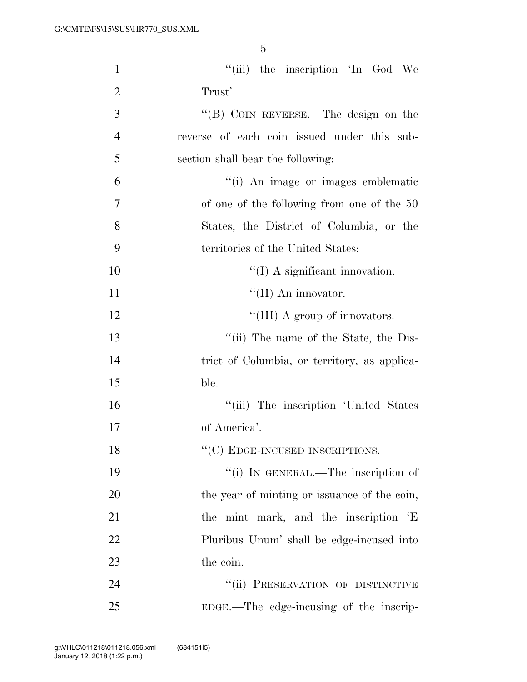| $\mathbf{1}$   | "(iii) the inscription 'In God We            |
|----------------|----------------------------------------------|
| $\overline{2}$ | Trust'.                                      |
| 3              | "(B) COIN REVERSE.—The design on the         |
| $\overline{4}$ | reverse of each coin issued under this sub-  |
| 5              | section shall bear the following:            |
| 6              | "(i) An image or images emblematic           |
| 7              | of one of the following from one of the 50   |
| 8              | States, the District of Columbia, or the     |
| 9              | territories of the United States:            |
| 10             | $\lq (I)$ A significant innovation.          |
| 11             | $\lq\lq$ (II) An innovator.                  |
| 12             | "(III) A group of innovators.                |
| 13             | "(ii) The name of the State, the Dis-        |
| 14             | trict of Columbia, or territory, as applica- |
| 15             | ble.                                         |
| 16             | "(iii) The inscription 'United States        |
| 17             | of America'.                                 |
| 18             | "(C) EDGE-INCUSED INSCRIPTIONS.-             |
| 19             | "(i) IN GENERAL.—The inscription of          |
| 20             | the year of minting or issuance of the coin, |
| 21             | the mint mark, and the inscription 'E        |
| 22             | Pluribus Unum' shall be edge-incused into    |
| 23             | the coin.                                    |
| 24             | "(ii) PRESERVATION OF DISTINCTIVE            |
| 25             | EDGE.—The edge-incusing of the inscrip-      |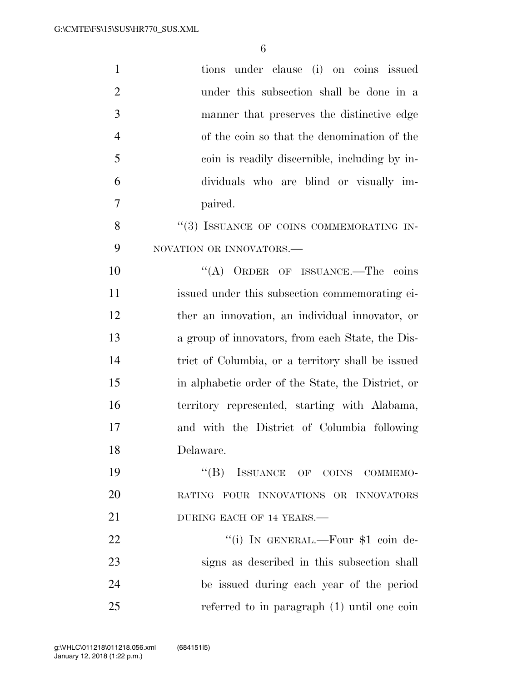| $\mathbf{1}$   | tions under clause (i) on coins issued             |
|----------------|----------------------------------------------------|
| $\overline{2}$ | under this subsection shall be done in a           |
| 3              | manner that preserves the distinctive edge         |
| $\overline{4}$ | of the coin so that the denomination of the        |
| 5              | coin is readily discernible, including by in-      |
| 6              | dividuals who are blind or visually im-            |
| 7              | paired.                                            |
| 8              | "(3) ISSUANCE OF COINS COMMEMORATING IN-           |
| 9              | NOVATION OR INNOVATORS.-                           |
| 10             | "(A) ORDER OF ISSUANCE.—The coins                  |
| 11             | issued under this subsection commemorating ei-     |
| 12             | ther an innovation, an individual innovator, or    |
| 13             | a group of innovators, from each State, the Dis-   |
| 14             | trict of Columbia, or a territory shall be issued  |
| 15             | in alphabetic order of the State, the District, or |
| 16             | territory represented, starting with Alabama,      |
| 17             | and with the District of Columbia following        |
| 18             | Delaware.                                          |
| 19             | $\lq\lq (B)$<br>ISSUANCE OF COINS COMMEMO-         |
| 20             | RATING FOUR INNOVATIONS OR INNOVATORS              |
| 21             | DURING EACH OF 14 YEARS.                           |
| 22             | "(i) IN GENERAL.—Four \$1 coin de-                 |
| 23             | signs as described in this subsection shall        |
| 24             | be issued during each year of the period           |
| 25             | referred to in paragraph $(1)$ until one coin      |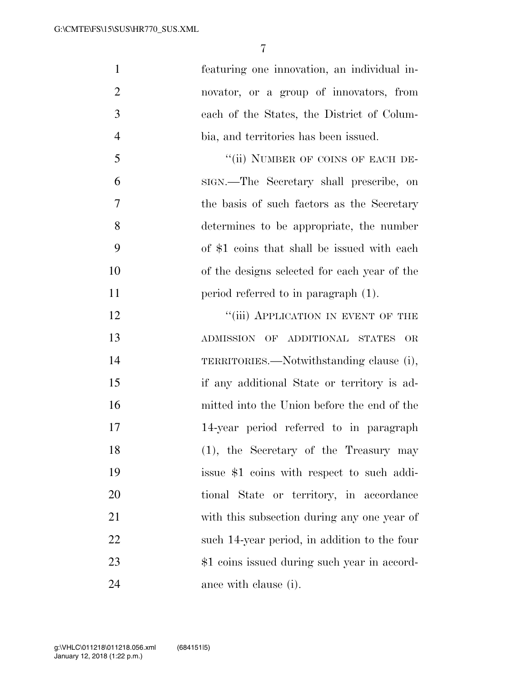| $\mathbf{1}$   | featuring one innovation, an individual in-  |
|----------------|----------------------------------------------|
| $\overline{2}$ | novator, or a group of innovators, from      |
| 3              | each of the States, the District of Colum-   |
| $\overline{4}$ | bia, and territories has been issued.        |
| 5              | "(ii) NUMBER OF COINS OF EACH DE-            |
| 6              | sign.—The Secretary shall prescribe, on      |
| 7              | the basis of such factors as the Secretary   |
| 8              | determines to be appropriate, the number     |
| 9              | of \$1 coins that shall be issued with each  |
| 10             | of the designs selected for each year of the |
| 11             | period referred to in paragraph (1).         |
| 12             | "(iii) APPLICATION IN EVENT OF THE           |
| 13             | ADMISSION OF ADDITIONAL STATES<br>OR         |
| 14             | TERRITORIES.—Notwithstanding clause (i),     |
| 15             | if any additional State or territory is ad-  |
| 16             | mitted into the Union before the end of the  |
| 17             | 14-year period referred to in paragraph      |
| 18             | $(1)$ , the Secretary of the Treasury may    |
| 19             | issue \$1 coins with respect to such addi-   |
| 20             | tional State or territory, in accordance     |
| 21             | with this subsection during any one year of  |
| 22             | such 14-year period, in addition to the four |
| 23             | \$1 coins issued during such year in accord- |
| 24             | ance with clause (i).                        |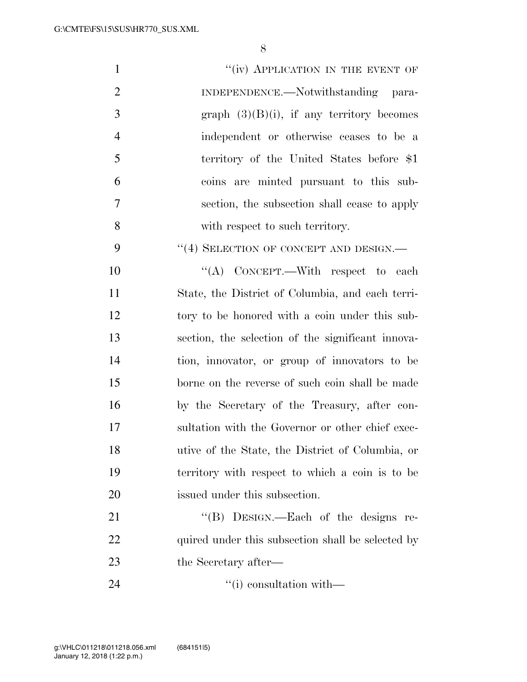| $\mathbf{1}$   | "(iv) APPLICATION IN THE EVENT OF                 |
|----------------|---------------------------------------------------|
| $\overline{2}$ | INDEPENDENCE.—Notwithstanding para-               |
| 3              | graph $(3)(B)(i)$ , if any territory becomes      |
| $\overline{4}$ | independent or otherwise ceases to be a           |
| 5              | territory of the United States before \$1         |
| 6              | coins are minted pursuant to this sub-            |
| 7              | section, the subsection shall cease to apply      |
| 8              | with respect to such territory.                   |
| 9              | "(4) SELECTION OF CONCEPT AND DESIGN.—            |
| 10             | "(A) CONCEPT.—With respect to each                |
| 11             | State, the District of Columbia, and each terri-  |
| 12             | tory to be honored with a coin under this sub-    |
| 13             | section, the selection of the significant innova- |
| 14             | tion, innovator, or group of innovators to be     |
| 15             | borne on the reverse of such coin shall be made   |
| 16             | by the Secretary of the Treasury, after con-      |
| 17             | sultation with the Governor or other chief exec-  |
| 18             | utive of the State, the District of Columbia, or  |
| 19             | territory with respect to which a coin is to be   |
| 20             | issued under this subsection.                     |
| 21             | "(B) DESIGN.—Each of the designs re-              |
| 22             | quired under this subsection shall be selected by |
| 23             | the Secretary after—                              |
| 24             | $\lq$ <sup>"</sup> (i) consultation with—         |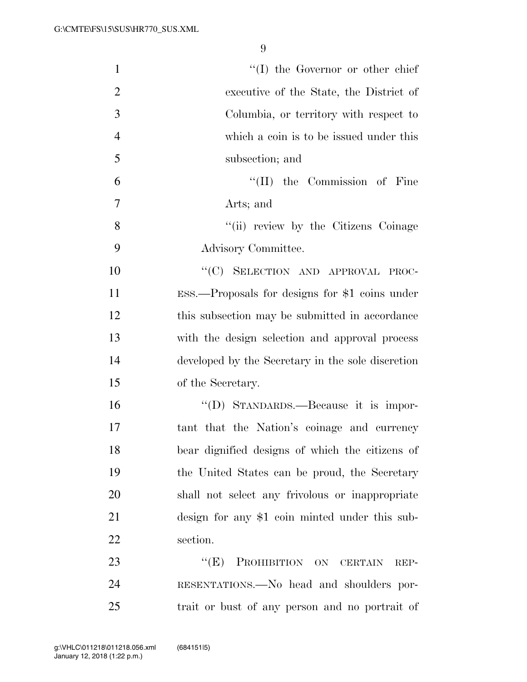| $\mathbf{1}$   | $\lq\lq$ the Governor or other chief               |
|----------------|----------------------------------------------------|
| $\overline{2}$ | executive of the State, the District of            |
| 3              | Columbia, or territory with respect to             |
| $\overline{4}$ | which a coin is to be issued under this            |
| 5              | subsection; and                                    |
| 6              | $\lq\lq$ (II) the Commission of Fine               |
| 7              | Arts; and                                          |
| 8              | "(ii) review by the Citizens Coinage               |
| 9              | Advisory Committee.                                |
| 10             | "(C) SELECTION AND APPROVAL PROC-                  |
| 11             | $ESS.$ --Proposals for designs for \$1 coins under |
| 12             | this subsection may be submitted in accordance     |
| 13             | with the design selection and approval process     |
| 14             | developed by the Secretary in the sole discretion  |
| 15             | of the Secretary.                                  |
| 16             | "(D) STANDARDS.—Because it is impor-               |
| 17             | tant that the Nation's coinage and currency        |
| 18             | bear dignified designs of which the citizens of    |
| 19             | the United States can be proud, the Secretary      |
| 20             | shall not select any frivolous or inappropriate    |
| 21             | design for any \$1 coin minted under this sub-     |
| 22             | section.                                           |
| 23             | PROHIBITION ON CERTAIN<br>``(E)<br>REP-            |
| 24             | RESENTATIONS.—No head and shoulders por-           |
| 25             | trait or bust of any person and no portrait of     |